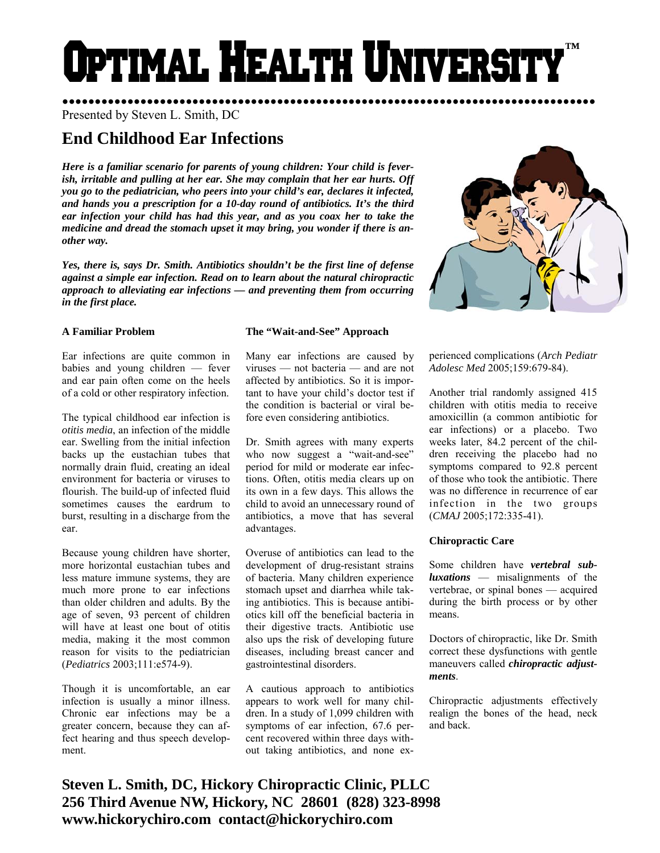# PTIMAL HEALTH UNIVERS! **™**

●●●●●●●●●●●●●●●●●●●●●●●●●●●●●●●●●●●●●●●●●●●●●●●●●●●●●●●●●●●●●●●●●●●●●●●●●●●●●●●●●● Presented by Steven L. Smith, DC

# **End Childhood Ear Infections**

*Here is a familiar scenario for parents of young children: Your child is feverish, irritable and pulling at her ear. She may complain that her ear hurts. Off you go to the pediatrician, who peers into your child's ear, declares it infected, and hands you a prescription for a 10-day round of antibiotics. It's the third ear infection your child has had this year, and as you coax her to take the medicine and dread the stomach upset it may bring, you wonder if there is another way.* 

*Yes, there is, says Dr. Smith. Antibiotics shouldn't be the first line of defense against a simple ear infection. Read on to learn about the natural chiropractic approach to alleviating ear infections — and preventing them from occurring in the first place.* 

## **A Familiar Problem**

Ear infections are quite common in babies and young children — fever and ear pain often come on the heels of a cold or other respiratory infection.

The typical childhood ear infection is *otitis media*, an infection of the middle ear. Swelling from the initial infection backs up the eustachian tubes that normally drain fluid, creating an ideal environment for bacteria or viruses to flourish. The build-up of infected fluid sometimes causes the eardrum to burst, resulting in a discharge from the ear.

Because young children have shorter, more horizontal eustachian tubes and less mature immune systems, they are much more prone to ear infections than older children and adults. By the age of seven, 93 percent of children will have at least one bout of otitis media, making it the most common reason for visits to the pediatrician (*Pediatrics* 2003;111:e574-9).

Though it is uncomfortable, an ear infection is usually a minor illness. Chronic ear infections may be a greater concern, because they can affect hearing and thus speech development.

## **The "Wait-and-See" Approach**

Many ear infections are caused by viruses — not bacteria — and are not affected by antibiotics. So it is important to have your child's doctor test if the condition is bacterial or viral before even considering antibiotics.

Dr. Smith agrees with many experts who now suggest a "wait-and-see" period for mild or moderate ear infections. Often, otitis media clears up on its own in a few days. This allows the child to avoid an unnecessary round of antibiotics, a move that has several advantages.

Overuse of antibiotics can lead to the development of drug-resistant strains of bacteria. Many children experience stomach upset and diarrhea while taking antibiotics. This is because antibiotics kill off the beneficial bacteria in their digestive tracts. Antibiotic use also ups the risk of developing future diseases, including breast cancer and gastrointestinal disorders.

A cautious approach to antibiotics appears to work well for many children. In a study of 1,099 children with symptoms of ear infection, 67.6 percent recovered within three days without taking antibiotics, and none ex-



perienced complications (*Arch Pediatr Adolesc Med* 2005;159:679-84).

Another trial randomly assigned 415 children with otitis media to receive amoxicillin (a common antibiotic for ear infections) or a placebo. Two weeks later, 84.2 percent of the children receiving the placebo had no symptoms compared to 92.8 percent of those who took the antibiotic. There was no difference in recurrence of ear infection in the two groups (*CMAJ* 2005;172:335-41).

#### **Chiropractic Care**

Some children have *vertebral subluxations* — misalignments of the vertebrae, or spinal bones — acquired during the birth process or by other means.

Doctors of chiropractic, like Dr. Smith correct these dysfunctions with gentle maneuvers called *chiropractic adjustments*.

Chiropractic adjustments effectively realign the bones of the head, neck and back.

**Steven L. Smith, DC, Hickory Chiropractic Clinic, PLLC 256 Third Avenue NW, Hickory, NC 28601 (828) 323-8998 www.hickorychiro.com contact@hickorychiro.com**